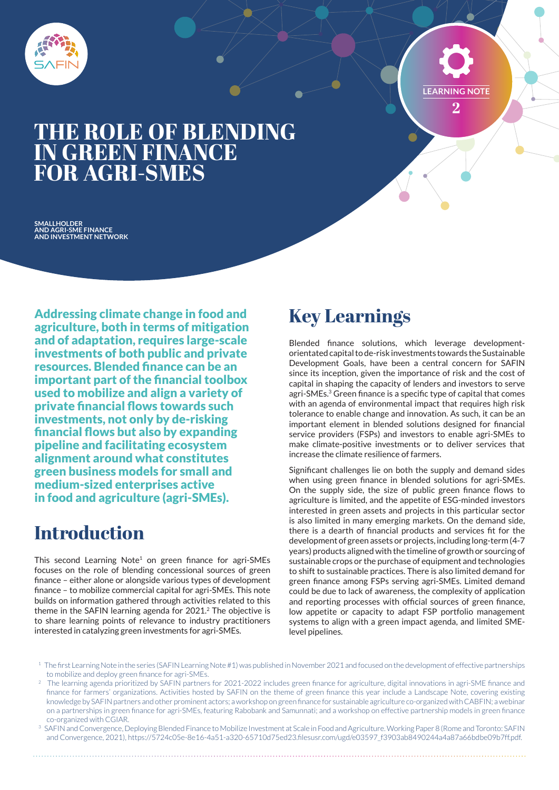

**LEARNING NOTE** 

**2**

# **THE ROLE OF BLENDING IN GREEN FINANCE FOR AGRI-SMES**

**SMALLHOLDER AND AGRI-SME FINANCE AND INVESTMENT NETWORK**

Addressing climate change in food and agriculture, both in terms of mitigation and of adaptation, requires large-scale investments of both public and private resources. Blended finance can be an important part of the financial toolbox used to mobilize and align a variety of private financial flows towards such investments, not only by de-risking financial flows but also by expanding pipeline and facilitating ecosystem alignment around what constitutes green business models for small and medium-sized enterprises active in food and agriculture (agri-SMEs).

## **Introduction**

This second Learning Note<sup>1</sup> on green finance for agri-SMEs focuses on the role of blending concessional sources of green finance – either alone or alongside various types of development finance – to mobilize commercial capital for agri-SMEs. This note builds on information gathered through activities related to this theme in the SAFIN learning agenda for 2021.<sup>2</sup> The objective is to share learning points of relevance to industry practitioners interested in catalyzing green investments for agri-SMEs.

# **Key Learnings**

Blended finance solutions, which leverage developmentorientated capital to de-risk investments towards the Sustainable Development Goals, have been a central concern for SAFIN since its inception, given the importance of risk and the cost of capital in shaping the capacity of lenders and investors to serve agri-SMEs.<sup>3</sup> Green finance is a specific type of capital that comes with an agenda of environmental impact that requires high risk tolerance to enable change and innovation. As such, it can be an important element in blended solutions designed for financial service providers (FSPs) and investors to enable agri-SMEs to make climate-positive investments or to deliver services that increase the climate resilience of farmers.

Significant challenges lie on both the supply and demand sides when using green finance in blended solutions for agri-SMEs. On the supply side, the size of public green finance flows to agriculture is limited, and the appetite of ESG-minded investors interested in green assets and projects in this particular sector is also limited in many emerging markets. On the demand side, there is a dearth of financial products and services fit for the development of green assets or projects, including long-term (4-7 years) products aligned with the timeline of growth or sourcing of sustainable crops or the purchase of equipment and technologies to shift to sustainable practices. There is also limited demand for green finance among FSPs serving agri-SMEs. Limited demand could be due to lack of awareness, the complexity of application and reporting processes with official sources of green finance, low appetite or capacity to adapt FSP portfolio management systems to align with a green impact agenda, and limited SMElevel pipelines.

- <sup>1</sup> The first Learning Note in the series (SAFIN Learning Note #1) was published in November 2021 and focused on the development of effective partnerships to mobilize and deploy green finance for agri-SMEs.
- 2 The learning agenda prioritized by SAFIN partners for 2021-2022 includes green finance for agriculture, digital innovations in agri-SME finance and finance for farmers' organizations. Activities hosted by SAFIN on the theme of green finance this year include a Landscape Note, covering existing knowledge by SAFIN partners and other prominent actors; a workshop on green finance for sustainable agriculture co-organized with CABFIN; a webinar on a partnerships in green finance for agri-SMEs, featuring Rabobank and Samunnati; and a workshop on effective partnership models in green finance co-organized with CGIAR.
- <sup>3</sup> SAFIN and Convergence, Deploying Blended Finance to Mobilize Investment at Scale in Food and Agriculture. Working Paper 8 (Rome and Toronto: SAFIN and Convergence, 2021), https://5724c05e-8e16-4a51-a320-65710d75ed23.filesusr.com/ugd/e03597\_f3903ab8490244a4a87a66bdbe09b7ff.pdf.